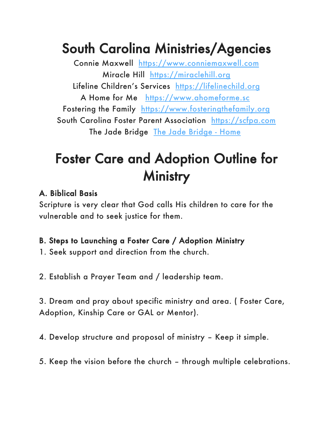## South Carolina Ministries/Agencies

Connie Maxwell https://www.conniemaxwell.com Miracle Hill https://miraclehill.org Lifeline Children's Services https://lifelinechild.org A Home for Me https://www.ahomeforme.sc Fostering the Family https://www.fosteringthefamily.org South Carolina Foster Parent Association https://scfpa.com The Jade Bridge The Jade Bridge - Home

# Foster Care and Adoption Outline for **Ministry**

### A. Biblical Basis

Scripture is very clear that God calls His children to care for the vulnerable and to seek justice for them.

### B. Steps to Launching a Foster Care / Adoption Ministry

1. Seek support and direction from the church.

2. Establish a Prayer Team and / leadership team.

3. Dream and pray about specific ministry and area. ( Foster Care, Adoption, Kinship Care or GAL or Mentor).

4. Develop structure and proposal of ministry – Keep it simple.

5. Keep the vision before the church – through multiple celebrations.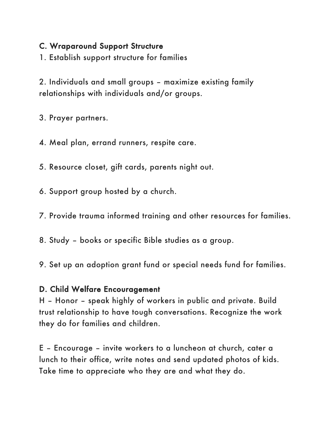#### C. Wraparound Support Structure

1. Establish support structure for families

2. Individuals and small groups – maximize existing family relationships with individuals and/or groups.

3. Prayer partners.

4. Meal plan, errand runners, respite care.

5. Resource closet, gift cards, parents night out.

6. Support group hosted by a church.

7. Provide trauma informed training and other resources for families.

8. Study – books or specific Bible studies as a group.

9. Set up an adoption grant fund or special needs fund for families.

#### D. Child Welfare Encouragement

H – Honor – speak highly of workers in public and private. Build trust relationship to have tough conversations. Recognize the work they do for families and children.

E – Encourage – invite workers to a luncheon at church, cater a lunch to their office, write notes and send updated photos of kids. Take time to appreciate who they are and what they do.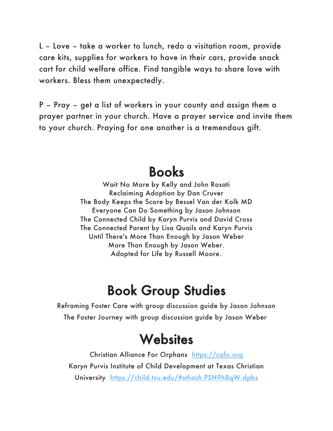L – Love – take a worker to lunch, redo a visitation room, provide care kits, supplies for workers to have in their cars, provide snack cart for child welfare office. Find tangible ways to share love with workers. Bless them unexpectedly.

P – Pray – get a list of workers in your county and assign them a prayer partner in your church. Have a prayer service and invite them to your church. Praying for one another is a tremendous gift.

### Books

Wait No More by Kelly and John Rosati Reclaiming Adoption by Dan Cruver The Body Keeps the Score by Bessel Van der Kolk MD Everyone Can Do Something by Jason Johnson The Connected Child by Karyn Purvis and David Cross The Connected Parent by Lisa Quails and Karyn Purvis Until There's More Than Enough by Jason Weber More Than Enough by Jason Weber. Adopted for Life by Russell Moore.

## Book Group Studies

Reframing Foster Care with group discussion guide by Jason Johnson The Foster Journey with group discussion guide by Jason Weber

## **Websites**

Christian Alliance For Orphans https://cafo.org Karyn Purvis Institute of Child Development at Texas Christian University https://child.tcu.edu/#sthash.PSH9h8qW.dpbs